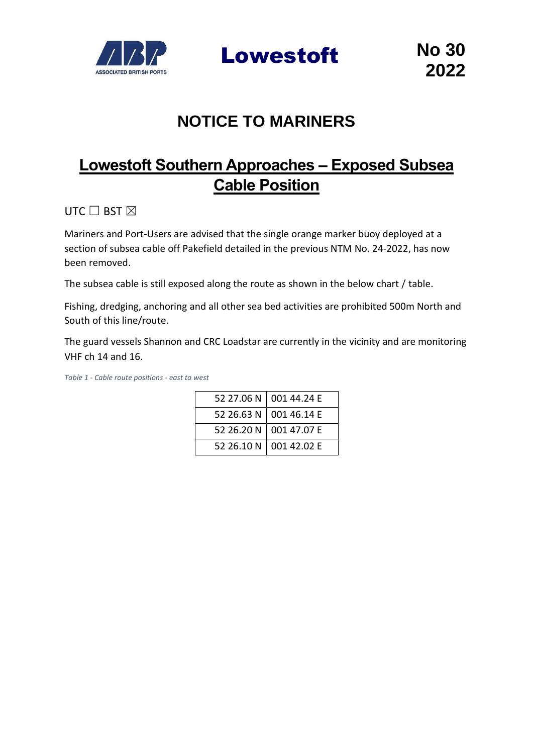

Lowestoft **No 30**

## **NOTICE TO MARINERS**

## **Lowestoft Southern Approaches – Exposed Subsea Cable Position**

UTC  $\Box$  BST  $\boxtimes$ 

Mariners and Port-Users are advised that the single orange marker buoy deployed at a section of subsea cable off Pakefield detailed in the previous NTM No. 24-2022, has now been removed.

The subsea cable is still exposed along the route as shown in the below chart / table.

Fishing, dredging, anchoring and all other sea bed activities are prohibited 500m North and South of this line/route.

The guard vessels Shannon and CRC Loadstar are currently in the vicinity and are monitoring VHF ch 14 and 16.

*Table 1 - Cable route positions - east to west*

|  | 52 27.06 N   001 44.24 E |
|--|--------------------------|
|  | 52 26.63 N   001 46.14 E |
|  | 52 26.20 N 001 47.07 E   |
|  | 52 26.10 N 001 42.02 E   |